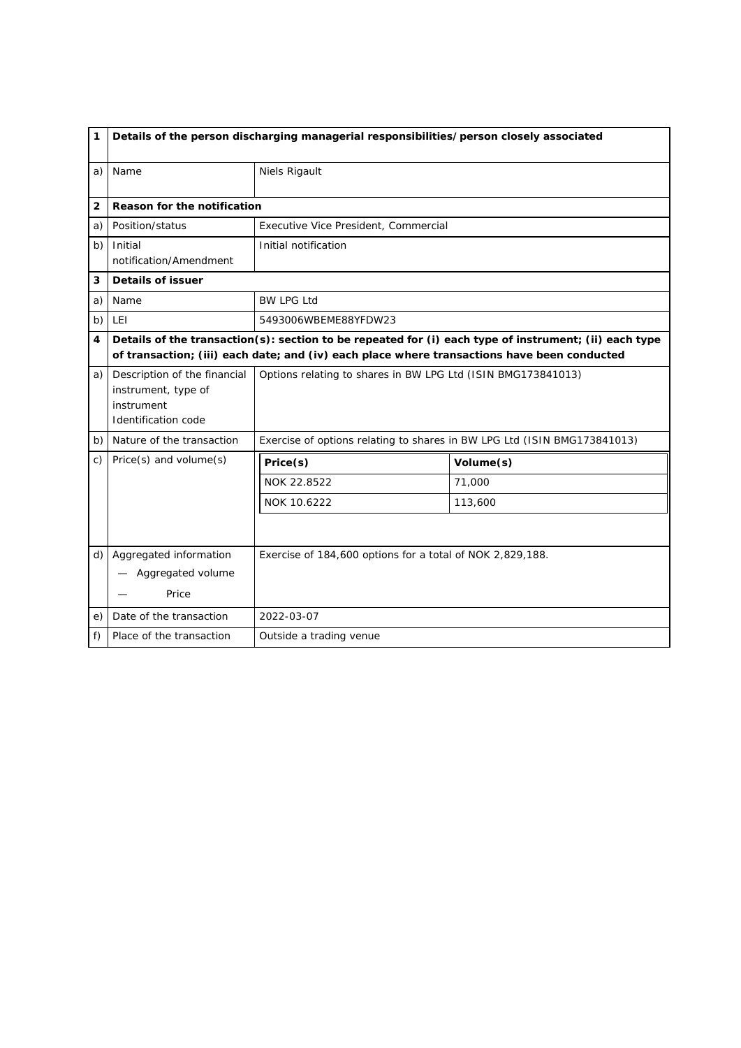| 1              | Details of the person discharging managerial responsibilities/person closely associated         |                                                                                                                                                                                                      |                                                                          |  |
|----------------|-------------------------------------------------------------------------------------------------|------------------------------------------------------------------------------------------------------------------------------------------------------------------------------------------------------|--------------------------------------------------------------------------|--|
| a)             | Name                                                                                            | Niels Rigault                                                                                                                                                                                        |                                                                          |  |
| $\overline{2}$ | Reason for the notification                                                                     |                                                                                                                                                                                                      |                                                                          |  |
| a)             | Position/status                                                                                 | Executive Vice President, Commercial                                                                                                                                                                 |                                                                          |  |
| b)             | Initial<br>notification/Amendment                                                               | Initial notification                                                                                                                                                                                 |                                                                          |  |
| 3              | <b>Details of issuer</b>                                                                        |                                                                                                                                                                                                      |                                                                          |  |
| a)             | Name                                                                                            | <b>BW LPG Ltd</b>                                                                                                                                                                                    |                                                                          |  |
| b)             | <b>LEI</b>                                                                                      | 5493006WBEME88YFDW23                                                                                                                                                                                 |                                                                          |  |
| 4              |                                                                                                 | Details of the transaction(s): section to be repeated for (i) each type of instrument; (ii) each type<br>of transaction; (iii) each date; and (iv) each place where transactions have been conducted |                                                                          |  |
| a)             | Description of the financial<br>instrument, type of<br>instrument<br><b>Identification code</b> | Options relating to shares in BW LPG Ltd (ISIN BMG173841013)                                                                                                                                         |                                                                          |  |
| b)             | Nature of the transaction                                                                       |                                                                                                                                                                                                      | Exercise of options relating to shares in BW LPG Ltd (ISIN BMG173841013) |  |
| C)             | $Price(s)$ and volume $(s)$                                                                     | Price(s)                                                                                                                                                                                             | Volume(s)                                                                |  |
|                |                                                                                                 | NOK 22.8522                                                                                                                                                                                          | 71,000                                                                   |  |
|                |                                                                                                 | NOK 10.6222                                                                                                                                                                                          | 113,600                                                                  |  |
|                |                                                                                                 |                                                                                                                                                                                                      |                                                                          |  |
| d)             | Aggregated information<br>Aggregated volume                                                     | Exercise of 184,600 options for a total of NOK 2,829,188.                                                                                                                                            |                                                                          |  |
|                | Price                                                                                           |                                                                                                                                                                                                      |                                                                          |  |
| e)             | Date of the transaction                                                                         | 2022-03-07                                                                                                                                                                                           |                                                                          |  |
| f)             | Place of the transaction                                                                        | Outside a trading venue                                                                                                                                                                              |                                                                          |  |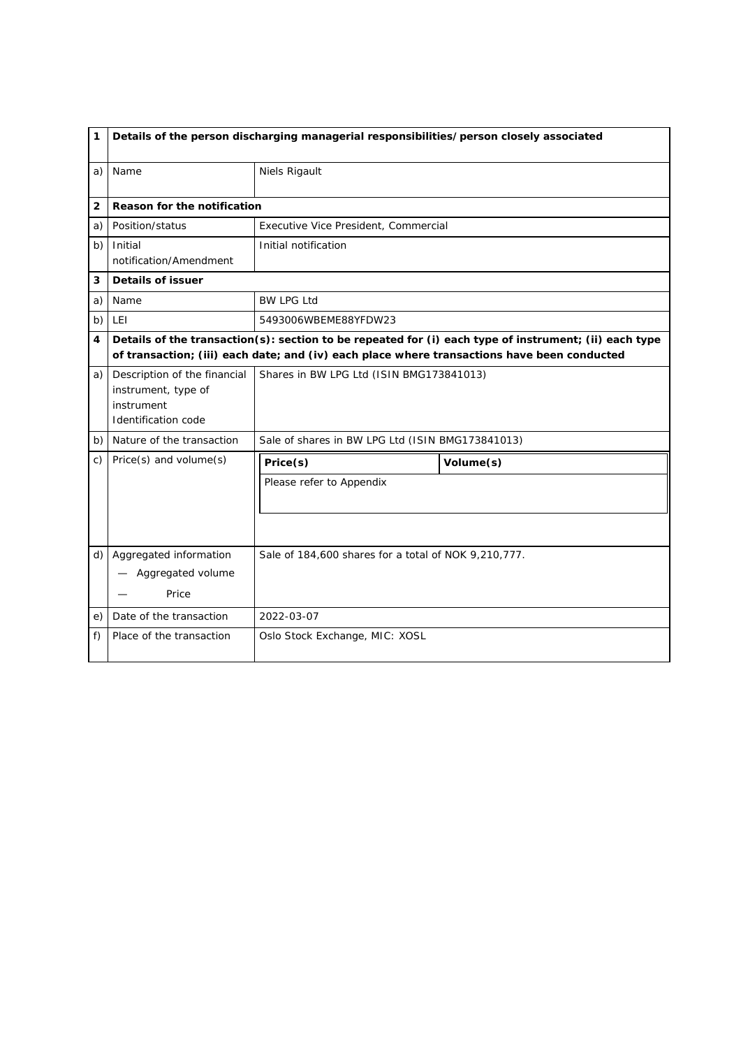| 1  |                                                                                          | Details of the person discharging managerial responsibilities/person closely associated                                                                                                              |           |  |
|----|------------------------------------------------------------------------------------------|------------------------------------------------------------------------------------------------------------------------------------------------------------------------------------------------------|-----------|--|
| a) | Name                                                                                     | Niels Rigault                                                                                                                                                                                        |           |  |
| 2  | Reason for the notification                                                              |                                                                                                                                                                                                      |           |  |
| a) | Position/status                                                                          | Executive Vice President, Commercial                                                                                                                                                                 |           |  |
| b) | Initial<br>notification/Amendment                                                        | Initial notification                                                                                                                                                                                 |           |  |
| 3  | Details of issuer                                                                        |                                                                                                                                                                                                      |           |  |
| a) | Name                                                                                     | <b>BW LPG Ltd</b>                                                                                                                                                                                    |           |  |
| b) | <b>LEI</b>                                                                               | 5493006WBEME88YFDW23                                                                                                                                                                                 |           |  |
| 4  |                                                                                          | Details of the transaction(s): section to be repeated for (i) each type of instrument; (ii) each type<br>of transaction; (iii) each date; and (iv) each place where transactions have been conducted |           |  |
| a) | Description of the financial<br>instrument, type of<br>instrument<br>Identification code | Shares in BW LPG Ltd (ISIN BMG173841013)                                                                                                                                                             |           |  |
| b) | Nature of the transaction                                                                | Sale of shares in BW LPG Ltd (ISIN BMG173841013)                                                                                                                                                     |           |  |
| C) | Price(s) and volume(s)                                                                   | Price(s)                                                                                                                                                                                             | Volume(s) |  |
|    |                                                                                          | Please refer to Appendix                                                                                                                                                                             |           |  |
| d) | Aggregated information<br>Aggregated volume<br>Price                                     | Sale of 184,600 shares for a total of NOK 9,210,777.                                                                                                                                                 |           |  |
| e) | Date of the transaction                                                                  | 2022-03-07                                                                                                                                                                                           |           |  |
| f) | Place of the transaction                                                                 | Oslo Stock Exchange, MIC: XOSL                                                                                                                                                                       |           |  |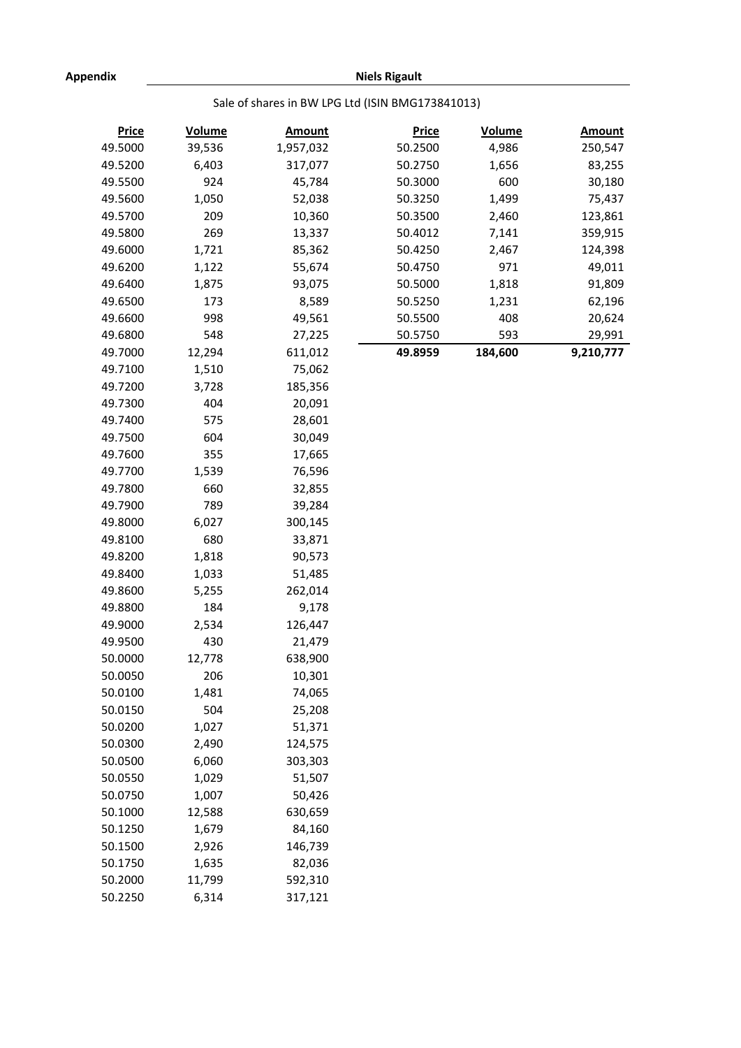**Niels Rigault**

## Sale of shares in BW LPG Ltd (ISIN BMG173841013)

| <b>Price</b> | <b>Volume</b> | <b>Amount</b> | <b>Price</b> | <b>Volume</b> | <b>Amount</b> |
|--------------|---------------|---------------|--------------|---------------|---------------|
| 49.5000      | 39,536        | 1,957,032     | 50.2500      | 4,986         | 250,547       |
| 49.5200      | 6,403         | 317,077       | 50.2750      | 1,656         | 83,255        |
| 49.5500      | 924           | 45,784        | 50.3000      | 600           | 30,180        |
| 49.5600      | 1,050         | 52,038        | 50.3250      | 1,499         | 75,437        |
| 49.5700      | 209           | 10,360        | 50.3500      | 2,460         | 123,861       |
| 49.5800      | 269           | 13,337        | 50.4012      | 7,141         | 359,915       |
| 49.6000      | 1,721         | 85,362        | 50.4250      | 2,467         | 124,398       |
| 49.6200      | 1,122         | 55,674        | 50.4750      | 971           | 49,011        |
| 49.6400      | 1,875         | 93,075        | 50.5000      | 1,818         | 91,809        |
| 49.6500      | 173           | 8,589         | 50.5250      | 1,231         | 62,196        |
| 49.6600      | 998           | 49,561        | 50.5500      | 408           | 20,624        |
| 49.6800      | 548           | 27,225        | 50.5750      | 593           | 29,991        |
| 49.7000      | 12,294        | 611,012       | 49.8959      | 184,600       | 9,210,777     |
| 49.7100      | 1,510         | 75,062        |              |               |               |
| 49.7200      | 3,728         | 185,356       |              |               |               |
| 49.7300      | 404           | 20,091        |              |               |               |
| 49.7400      | 575           | 28,601        |              |               |               |
| 49.7500      | 604           | 30,049        |              |               |               |
| 49.7600      | 355           | 17,665        |              |               |               |
| 49.7700      | 1,539         | 76,596        |              |               |               |
| 49.7800      | 660           | 32,855        |              |               |               |
| 49.7900      | 789           | 39,284        |              |               |               |
| 49.8000      | 6,027         | 300,145       |              |               |               |
| 49.8100      | 680           | 33,871        |              |               |               |
| 49.8200      | 1,818         | 90,573        |              |               |               |
| 49.8400      | 1,033         | 51,485        |              |               |               |
| 49.8600      | 5,255         | 262,014       |              |               |               |
| 49.8800      | 184           | 9,178         |              |               |               |
| 49.9000      | 2,534         | 126,447       |              |               |               |
| 49.9500      | 430           | 21,479        |              |               |               |
| 50.0000      | 12,778        | 638,900       |              |               |               |
| 50.0050      | 206           | 10,301        |              |               |               |
| 50.0100      | 1,481         | 74,065        |              |               |               |
| 50.0150      | 504           | 25,208        |              |               |               |
| 50.0200      | 1,027         | 51,371        |              |               |               |
| 50.0300      | 2,490         | 124,575       |              |               |               |
| 50.0500      | 6,060         | 303,303       |              |               |               |
| 50.0550      | 1,029         | 51,507        |              |               |               |
| 50.0750      | 1,007         | 50,426        |              |               |               |
| 50.1000      | 12,588        | 630,659       |              |               |               |
| 50.1250      | 1,679         | 84,160        |              |               |               |
| 50.1500      | 2,926         | 146,739       |              |               |               |
| 50.1750      | 1,635         | 82,036        |              |               |               |
| 50.2000      | 11,799        | 592,310       |              |               |               |
| 50.2250      | 6,314         | 317,121       |              |               |               |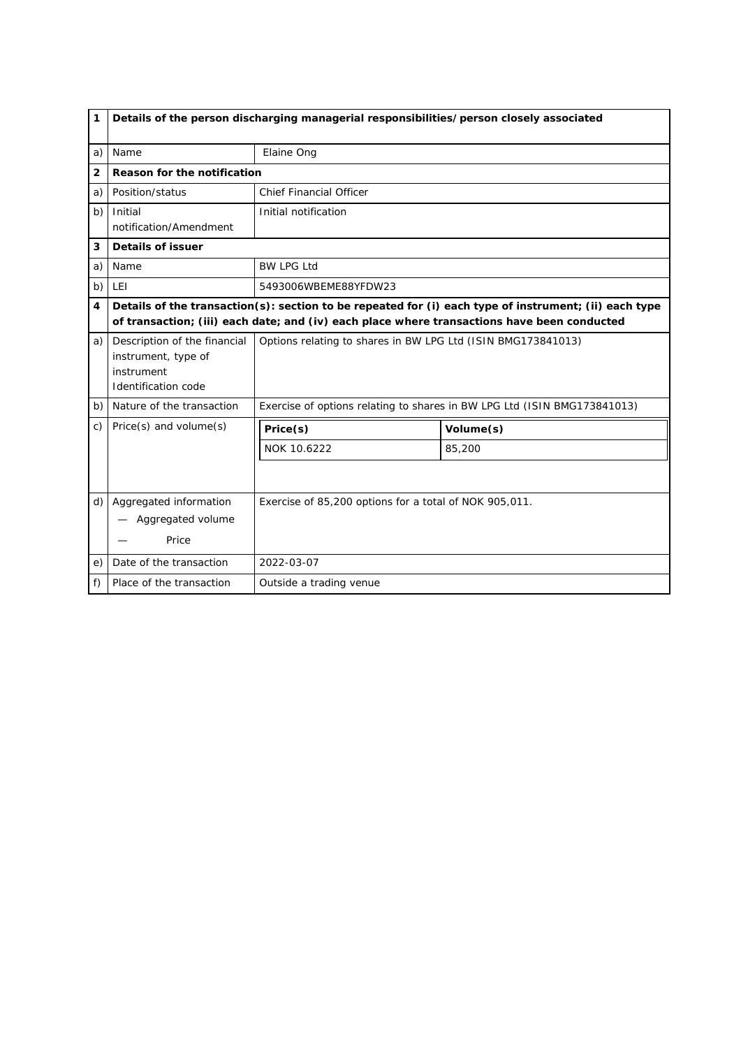| 1               | Details of the person discharging managerial responsibilities/person closely associated  |                                                                                                                                                                                                      |                                                                          |  |
|-----------------|------------------------------------------------------------------------------------------|------------------------------------------------------------------------------------------------------------------------------------------------------------------------------------------------------|--------------------------------------------------------------------------|--|
| a)              | Name                                                                                     | Elaine Ong                                                                                                                                                                                           |                                                                          |  |
| $\overline{2}$  | Reason for the notification                                                              |                                                                                                                                                                                                      |                                                                          |  |
| a)              | Position/status                                                                          | <b>Chief Financial Officer</b>                                                                                                                                                                       |                                                                          |  |
| b)              | Initial<br>notification/Amendment                                                        | Initial notification                                                                                                                                                                                 |                                                                          |  |
| 3               | <b>Details of issuer</b>                                                                 |                                                                                                                                                                                                      |                                                                          |  |
| a)              | Name                                                                                     | <b>BW LPG Ltd</b>                                                                                                                                                                                    |                                                                          |  |
| b)              | <b>LEI</b>                                                                               | 5493006WBEME88YFDW23                                                                                                                                                                                 |                                                                          |  |
| 4               |                                                                                          | Details of the transaction(s): section to be repeated for (i) each type of instrument; (ii) each type<br>of transaction; (iii) each date; and (iv) each place where transactions have been conducted |                                                                          |  |
| a)              | Description of the financial<br>instrument, type of<br>instrument<br>Identification code | Options relating to shares in BW LPG Ltd (ISIN BMG173841013)                                                                                                                                         |                                                                          |  |
| b)              | Nature of the transaction                                                                |                                                                                                                                                                                                      | Exercise of options relating to shares in BW LPG Ltd (ISIN BMG173841013) |  |
| $\mathcal{C}$ ) | Price(s) and volume(s)                                                                   | Price(s)                                                                                                                                                                                             | Volume(s)                                                                |  |
|                 |                                                                                          | NOK 10.6222                                                                                                                                                                                          | 85,200                                                                   |  |
|                 |                                                                                          |                                                                                                                                                                                                      |                                                                          |  |
| d)              | Aggregated information<br>- Aggregated volume<br>Price                                   | Exercise of 85,200 options for a total of NOK 905,011.                                                                                                                                               |                                                                          |  |
| e)              | Date of the transaction                                                                  | 2022-03-07                                                                                                                                                                                           |                                                                          |  |
| f)              | Place of the transaction                                                                 | Outside a trading venue                                                                                                                                                                              |                                                                          |  |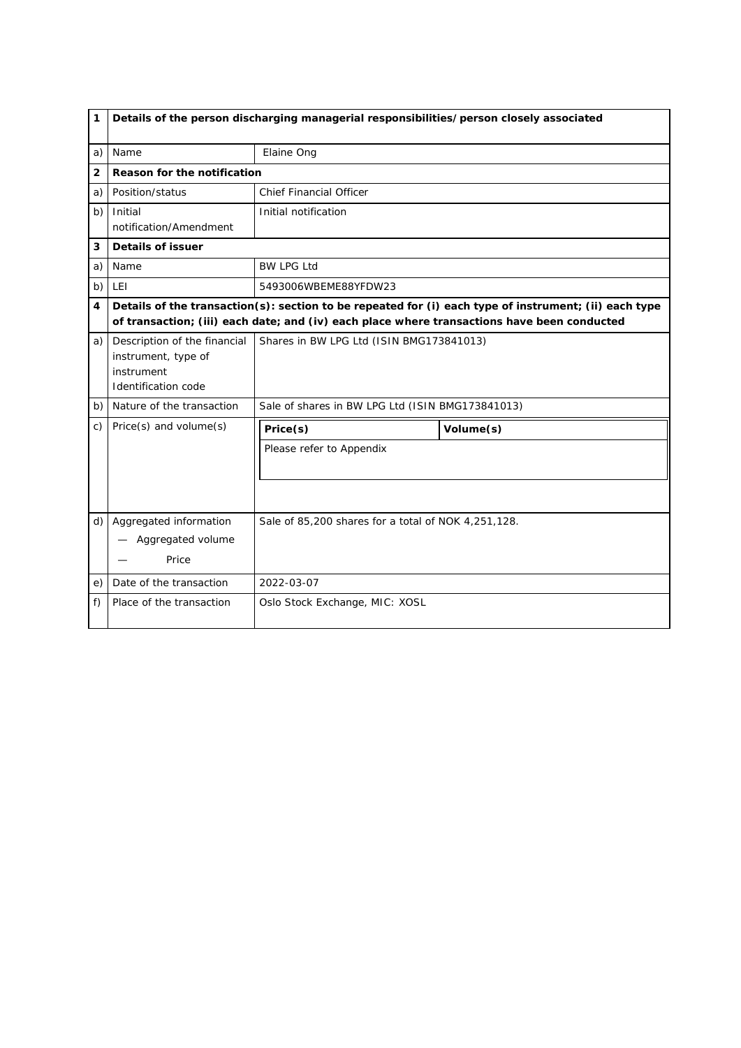| 1              |                                                                                                 | Details of the person discharging managerial responsibilities/person closely associated |                                                                                                                                                                                                      |  |
|----------------|-------------------------------------------------------------------------------------------------|-----------------------------------------------------------------------------------------|------------------------------------------------------------------------------------------------------------------------------------------------------------------------------------------------------|--|
| a)             | Name                                                                                            | Elaine Ong                                                                              |                                                                                                                                                                                                      |  |
| $\overline{2}$ | Reason for the notification                                                                     |                                                                                         |                                                                                                                                                                                                      |  |
| a)             | Position/status                                                                                 | <b>Chief Financial Officer</b>                                                          |                                                                                                                                                                                                      |  |
| b)             | Initial<br>notification/Amendment                                                               | Initial notification                                                                    |                                                                                                                                                                                                      |  |
| 3              | Details of issuer                                                                               |                                                                                         |                                                                                                                                                                                                      |  |
| a)             | Name                                                                                            | <b>BW LPG Ltd</b>                                                                       |                                                                                                                                                                                                      |  |
| b)             | <b>LEI</b>                                                                                      | 5493006WBEME88YFDW23                                                                    |                                                                                                                                                                                                      |  |
| 4              |                                                                                                 |                                                                                         | Details of the transaction(s): section to be repeated for (i) each type of instrument; (ii) each type<br>of transaction; (iii) each date; and (iv) each place where transactions have been conducted |  |
| a)             | Description of the financial<br>instrument, type of<br>instrument<br><b>Identification code</b> | Shares in BW LPG Ltd (ISIN BMG173841013)                                                |                                                                                                                                                                                                      |  |
| b)             | Nature of the transaction                                                                       | Sale of shares in BW LPG Ltd (ISIN BMG173841013)                                        |                                                                                                                                                                                                      |  |
| C)             | Price(s) and volume(s)                                                                          | Price(s)                                                                                | Volume(s)                                                                                                                                                                                            |  |
|                |                                                                                                 | Please refer to Appendix                                                                |                                                                                                                                                                                                      |  |
|                |                                                                                                 |                                                                                         |                                                                                                                                                                                                      |  |
| d)             | Aggregated information<br>Aggregated volume<br>Price                                            | Sale of 85,200 shares for a total of NOK 4,251,128.                                     |                                                                                                                                                                                                      |  |
| e)             | Date of the transaction                                                                         | 2022-03-07                                                                              |                                                                                                                                                                                                      |  |
| f)             | Place of the transaction                                                                        | Oslo Stock Exchange, MIC: XOSL                                                          |                                                                                                                                                                                                      |  |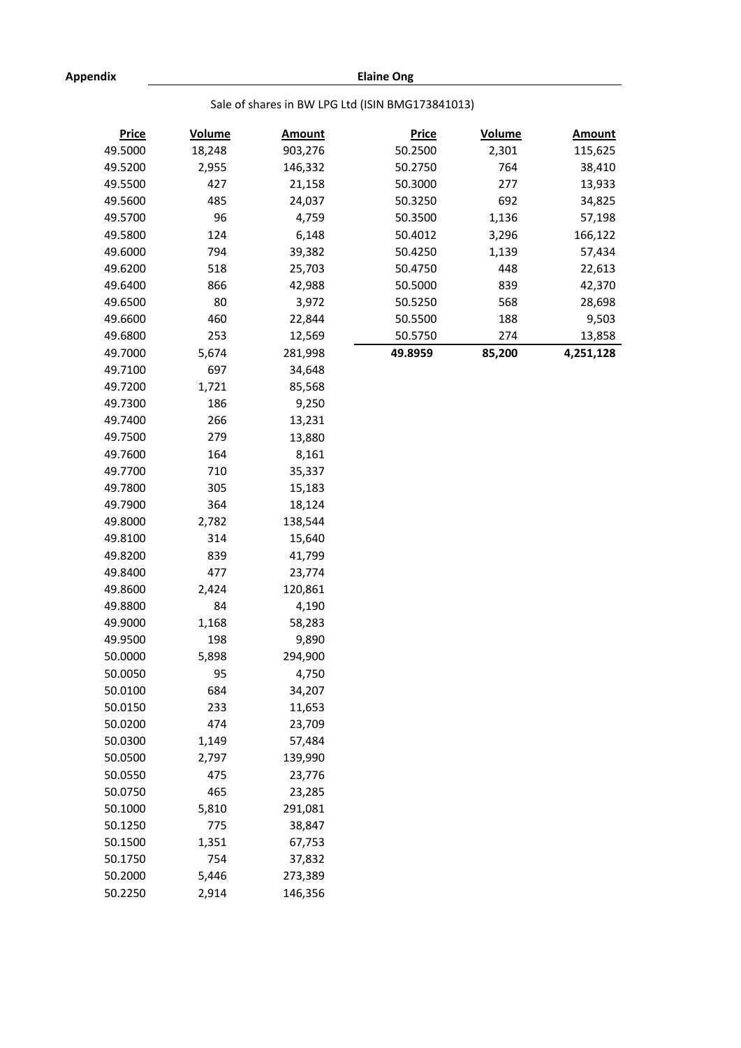**Elaine Ong**

# Sale of shares in BW LPG Ltd (ISIN BMG173841013)

| 49.5000<br>18,248<br>903,276<br>50.2500<br>2,301<br>115,625<br>764<br>49.5200<br>2,955<br>146,332<br>50.2750<br>38,410<br>427<br>49.5500<br>21,158<br>50.3000<br>277<br>13,933<br>49.5600<br>485<br>24,037<br>50.3250<br>692<br>34,825<br>49.5700<br>96<br>4,759<br>50.3500<br>1,136<br>57,198<br>49.5800<br>124<br>6,148<br>50.4012<br>3,296<br>166,122<br>49.6000<br>794<br>39,382<br>50.4250<br>1,139<br>57,434<br>49.6200<br>518<br>25,703<br>448<br>22,613<br>50.4750<br>49.6400<br>866<br>42,988<br>50.5000<br>839<br>42,370<br>80<br>49.6500<br>3,972<br>50.5250<br>568<br>28,698<br>460<br>49.6600<br>22,844<br>50.5500<br>188<br>9,503<br>49.6800<br>253<br>12,569<br>13,858<br>50.5750<br>274<br>49.7000<br>5,674<br>281,998<br>4,251,128<br>49.8959<br>85,200<br>49.7100<br>697<br>34,648<br>49.7200<br>1,721<br>85,568<br>186<br>49.7300<br>9,250<br>266<br>49.7400<br>13,231<br>279<br>49.7500<br>13,880<br>164<br>49.7600<br>8,161<br>49.7700<br>710<br>35,337<br>49.7800<br>305<br>15,183<br>49.7900<br>364<br>18,124<br>49.8000<br>2,782<br>138,544<br>49.8100<br>314<br>15,640<br>49.8200<br>839<br>41,799<br>49.8400<br>477<br>23,774<br>49.8600<br>2,424<br>120,861<br>84<br>49.8800<br>4,190<br>49.9000<br>58,283<br>1,168<br>49.9500<br>198<br>9,890<br>50.0000<br>5,898<br>294,900<br>50.0050<br>95<br>4,750<br>50.0100<br>684<br>34,207<br>233<br>50.0150<br>11,653<br>50.0200<br>23,709<br>474<br>50.0300<br>57,484<br>1,149<br>50.0500<br>139,990<br>2,797<br>50.0550<br>23,776<br>475<br>50.0750<br>465<br>23,285<br>50.1000<br>5,810<br>291,081<br>50.1250<br>38,847<br>775<br>50.1500<br>1,351<br>67,753<br>754<br>50.1750<br>37,832<br>273,389<br>50.2000<br>5,446<br>50.2250<br>2,914<br>146,356 | <b>Price</b> | <b>Volume</b> | <b>Amount</b> | <b>Price</b> | <b>Volume</b> | <b>Amount</b> |
|--------------------------------------------------------------------------------------------------------------------------------------------------------------------------------------------------------------------------------------------------------------------------------------------------------------------------------------------------------------------------------------------------------------------------------------------------------------------------------------------------------------------------------------------------------------------------------------------------------------------------------------------------------------------------------------------------------------------------------------------------------------------------------------------------------------------------------------------------------------------------------------------------------------------------------------------------------------------------------------------------------------------------------------------------------------------------------------------------------------------------------------------------------------------------------------------------------------------------------------------------------------------------------------------------------------------------------------------------------------------------------------------------------------------------------------------------------------------------------------------------------------------------------------------------------------------------------------------------------------------------------------------------------------------------------------------------------------------------------|--------------|---------------|---------------|--------------|---------------|---------------|
|                                                                                                                                                                                                                                                                                                                                                                                                                                                                                                                                                                                                                                                                                                                                                                                                                                                                                                                                                                                                                                                                                                                                                                                                                                                                                                                                                                                                                                                                                                                                                                                                                                                                                                                                |              |               |               |              |               |               |
|                                                                                                                                                                                                                                                                                                                                                                                                                                                                                                                                                                                                                                                                                                                                                                                                                                                                                                                                                                                                                                                                                                                                                                                                                                                                                                                                                                                                                                                                                                                                                                                                                                                                                                                                |              |               |               |              |               |               |
|                                                                                                                                                                                                                                                                                                                                                                                                                                                                                                                                                                                                                                                                                                                                                                                                                                                                                                                                                                                                                                                                                                                                                                                                                                                                                                                                                                                                                                                                                                                                                                                                                                                                                                                                |              |               |               |              |               |               |
|                                                                                                                                                                                                                                                                                                                                                                                                                                                                                                                                                                                                                                                                                                                                                                                                                                                                                                                                                                                                                                                                                                                                                                                                                                                                                                                                                                                                                                                                                                                                                                                                                                                                                                                                |              |               |               |              |               |               |
|                                                                                                                                                                                                                                                                                                                                                                                                                                                                                                                                                                                                                                                                                                                                                                                                                                                                                                                                                                                                                                                                                                                                                                                                                                                                                                                                                                                                                                                                                                                                                                                                                                                                                                                                |              |               |               |              |               |               |
|                                                                                                                                                                                                                                                                                                                                                                                                                                                                                                                                                                                                                                                                                                                                                                                                                                                                                                                                                                                                                                                                                                                                                                                                                                                                                                                                                                                                                                                                                                                                                                                                                                                                                                                                |              |               |               |              |               |               |
|                                                                                                                                                                                                                                                                                                                                                                                                                                                                                                                                                                                                                                                                                                                                                                                                                                                                                                                                                                                                                                                                                                                                                                                                                                                                                                                                                                                                                                                                                                                                                                                                                                                                                                                                |              |               |               |              |               |               |
|                                                                                                                                                                                                                                                                                                                                                                                                                                                                                                                                                                                                                                                                                                                                                                                                                                                                                                                                                                                                                                                                                                                                                                                                                                                                                                                                                                                                                                                                                                                                                                                                                                                                                                                                |              |               |               |              |               |               |
|                                                                                                                                                                                                                                                                                                                                                                                                                                                                                                                                                                                                                                                                                                                                                                                                                                                                                                                                                                                                                                                                                                                                                                                                                                                                                                                                                                                                                                                                                                                                                                                                                                                                                                                                |              |               |               |              |               |               |
|                                                                                                                                                                                                                                                                                                                                                                                                                                                                                                                                                                                                                                                                                                                                                                                                                                                                                                                                                                                                                                                                                                                                                                                                                                                                                                                                                                                                                                                                                                                                                                                                                                                                                                                                |              |               |               |              |               |               |
|                                                                                                                                                                                                                                                                                                                                                                                                                                                                                                                                                                                                                                                                                                                                                                                                                                                                                                                                                                                                                                                                                                                                                                                                                                                                                                                                                                                                                                                                                                                                                                                                                                                                                                                                |              |               |               |              |               |               |
|                                                                                                                                                                                                                                                                                                                                                                                                                                                                                                                                                                                                                                                                                                                                                                                                                                                                                                                                                                                                                                                                                                                                                                                                                                                                                                                                                                                                                                                                                                                                                                                                                                                                                                                                |              |               |               |              |               |               |
|                                                                                                                                                                                                                                                                                                                                                                                                                                                                                                                                                                                                                                                                                                                                                                                                                                                                                                                                                                                                                                                                                                                                                                                                                                                                                                                                                                                                                                                                                                                                                                                                                                                                                                                                |              |               |               |              |               |               |
|                                                                                                                                                                                                                                                                                                                                                                                                                                                                                                                                                                                                                                                                                                                                                                                                                                                                                                                                                                                                                                                                                                                                                                                                                                                                                                                                                                                                                                                                                                                                                                                                                                                                                                                                |              |               |               |              |               |               |
|                                                                                                                                                                                                                                                                                                                                                                                                                                                                                                                                                                                                                                                                                                                                                                                                                                                                                                                                                                                                                                                                                                                                                                                                                                                                                                                                                                                                                                                                                                                                                                                                                                                                                                                                |              |               |               |              |               |               |
|                                                                                                                                                                                                                                                                                                                                                                                                                                                                                                                                                                                                                                                                                                                                                                                                                                                                                                                                                                                                                                                                                                                                                                                                                                                                                                                                                                                                                                                                                                                                                                                                                                                                                                                                |              |               |               |              |               |               |
|                                                                                                                                                                                                                                                                                                                                                                                                                                                                                                                                                                                                                                                                                                                                                                                                                                                                                                                                                                                                                                                                                                                                                                                                                                                                                                                                                                                                                                                                                                                                                                                                                                                                                                                                |              |               |               |              |               |               |
|                                                                                                                                                                                                                                                                                                                                                                                                                                                                                                                                                                                                                                                                                                                                                                                                                                                                                                                                                                                                                                                                                                                                                                                                                                                                                                                                                                                                                                                                                                                                                                                                                                                                                                                                |              |               |               |              |               |               |
|                                                                                                                                                                                                                                                                                                                                                                                                                                                                                                                                                                                                                                                                                                                                                                                                                                                                                                                                                                                                                                                                                                                                                                                                                                                                                                                                                                                                                                                                                                                                                                                                                                                                                                                                |              |               |               |              |               |               |
|                                                                                                                                                                                                                                                                                                                                                                                                                                                                                                                                                                                                                                                                                                                                                                                                                                                                                                                                                                                                                                                                                                                                                                                                                                                                                                                                                                                                                                                                                                                                                                                                                                                                                                                                |              |               |               |              |               |               |
|                                                                                                                                                                                                                                                                                                                                                                                                                                                                                                                                                                                                                                                                                                                                                                                                                                                                                                                                                                                                                                                                                                                                                                                                                                                                                                                                                                                                                                                                                                                                                                                                                                                                                                                                |              |               |               |              |               |               |
|                                                                                                                                                                                                                                                                                                                                                                                                                                                                                                                                                                                                                                                                                                                                                                                                                                                                                                                                                                                                                                                                                                                                                                                                                                                                                                                                                                                                                                                                                                                                                                                                                                                                                                                                |              |               |               |              |               |               |
|                                                                                                                                                                                                                                                                                                                                                                                                                                                                                                                                                                                                                                                                                                                                                                                                                                                                                                                                                                                                                                                                                                                                                                                                                                                                                                                                                                                                                                                                                                                                                                                                                                                                                                                                |              |               |               |              |               |               |
|                                                                                                                                                                                                                                                                                                                                                                                                                                                                                                                                                                                                                                                                                                                                                                                                                                                                                                                                                                                                                                                                                                                                                                                                                                                                                                                                                                                                                                                                                                                                                                                                                                                                                                                                |              |               |               |              |               |               |
|                                                                                                                                                                                                                                                                                                                                                                                                                                                                                                                                                                                                                                                                                                                                                                                                                                                                                                                                                                                                                                                                                                                                                                                                                                                                                                                                                                                                                                                                                                                                                                                                                                                                                                                                |              |               |               |              |               |               |
|                                                                                                                                                                                                                                                                                                                                                                                                                                                                                                                                                                                                                                                                                                                                                                                                                                                                                                                                                                                                                                                                                                                                                                                                                                                                                                                                                                                                                                                                                                                                                                                                                                                                                                                                |              |               |               |              |               |               |
|                                                                                                                                                                                                                                                                                                                                                                                                                                                                                                                                                                                                                                                                                                                                                                                                                                                                                                                                                                                                                                                                                                                                                                                                                                                                                                                                                                                                                                                                                                                                                                                                                                                                                                                                |              |               |               |              |               |               |
|                                                                                                                                                                                                                                                                                                                                                                                                                                                                                                                                                                                                                                                                                                                                                                                                                                                                                                                                                                                                                                                                                                                                                                                                                                                                                                                                                                                                                                                                                                                                                                                                                                                                                                                                |              |               |               |              |               |               |
|                                                                                                                                                                                                                                                                                                                                                                                                                                                                                                                                                                                                                                                                                                                                                                                                                                                                                                                                                                                                                                                                                                                                                                                                                                                                                                                                                                                                                                                                                                                                                                                                                                                                                                                                |              |               |               |              |               |               |
|                                                                                                                                                                                                                                                                                                                                                                                                                                                                                                                                                                                                                                                                                                                                                                                                                                                                                                                                                                                                                                                                                                                                                                                                                                                                                                                                                                                                                                                                                                                                                                                                                                                                                                                                |              |               |               |              |               |               |
|                                                                                                                                                                                                                                                                                                                                                                                                                                                                                                                                                                                                                                                                                                                                                                                                                                                                                                                                                                                                                                                                                                                                                                                                                                                                                                                                                                                                                                                                                                                                                                                                                                                                                                                                |              |               |               |              |               |               |
|                                                                                                                                                                                                                                                                                                                                                                                                                                                                                                                                                                                                                                                                                                                                                                                                                                                                                                                                                                                                                                                                                                                                                                                                                                                                                                                                                                                                                                                                                                                                                                                                                                                                                                                                |              |               |               |              |               |               |
|                                                                                                                                                                                                                                                                                                                                                                                                                                                                                                                                                                                                                                                                                                                                                                                                                                                                                                                                                                                                                                                                                                                                                                                                                                                                                                                                                                                                                                                                                                                                                                                                                                                                                                                                |              |               |               |              |               |               |
|                                                                                                                                                                                                                                                                                                                                                                                                                                                                                                                                                                                                                                                                                                                                                                                                                                                                                                                                                                                                                                                                                                                                                                                                                                                                                                                                                                                                                                                                                                                                                                                                                                                                                                                                |              |               |               |              |               |               |
|                                                                                                                                                                                                                                                                                                                                                                                                                                                                                                                                                                                                                                                                                                                                                                                                                                                                                                                                                                                                                                                                                                                                                                                                                                                                                                                                                                                                                                                                                                                                                                                                                                                                                                                                |              |               |               |              |               |               |
|                                                                                                                                                                                                                                                                                                                                                                                                                                                                                                                                                                                                                                                                                                                                                                                                                                                                                                                                                                                                                                                                                                                                                                                                                                                                                                                                                                                                                                                                                                                                                                                                                                                                                                                                |              |               |               |              |               |               |
|                                                                                                                                                                                                                                                                                                                                                                                                                                                                                                                                                                                                                                                                                                                                                                                                                                                                                                                                                                                                                                                                                                                                                                                                                                                                                                                                                                                                                                                                                                                                                                                                                                                                                                                                |              |               |               |              |               |               |
|                                                                                                                                                                                                                                                                                                                                                                                                                                                                                                                                                                                                                                                                                                                                                                                                                                                                                                                                                                                                                                                                                                                                                                                                                                                                                                                                                                                                                                                                                                                                                                                                                                                                                                                                |              |               |               |              |               |               |
|                                                                                                                                                                                                                                                                                                                                                                                                                                                                                                                                                                                                                                                                                                                                                                                                                                                                                                                                                                                                                                                                                                                                                                                                                                                                                                                                                                                                                                                                                                                                                                                                                                                                                                                                |              |               |               |              |               |               |
|                                                                                                                                                                                                                                                                                                                                                                                                                                                                                                                                                                                                                                                                                                                                                                                                                                                                                                                                                                                                                                                                                                                                                                                                                                                                                                                                                                                                                                                                                                                                                                                                                                                                                                                                |              |               |               |              |               |               |
|                                                                                                                                                                                                                                                                                                                                                                                                                                                                                                                                                                                                                                                                                                                                                                                                                                                                                                                                                                                                                                                                                                                                                                                                                                                                                                                                                                                                                                                                                                                                                                                                                                                                                                                                |              |               |               |              |               |               |
|                                                                                                                                                                                                                                                                                                                                                                                                                                                                                                                                                                                                                                                                                                                                                                                                                                                                                                                                                                                                                                                                                                                                                                                                                                                                                                                                                                                                                                                                                                                                                                                                                                                                                                                                |              |               |               |              |               |               |
|                                                                                                                                                                                                                                                                                                                                                                                                                                                                                                                                                                                                                                                                                                                                                                                                                                                                                                                                                                                                                                                                                                                                                                                                                                                                                                                                                                                                                                                                                                                                                                                                                                                                                                                                |              |               |               |              |               |               |
|                                                                                                                                                                                                                                                                                                                                                                                                                                                                                                                                                                                                                                                                                                                                                                                                                                                                                                                                                                                                                                                                                                                                                                                                                                                                                                                                                                                                                                                                                                                                                                                                                                                                                                                                |              |               |               |              |               |               |
|                                                                                                                                                                                                                                                                                                                                                                                                                                                                                                                                                                                                                                                                                                                                                                                                                                                                                                                                                                                                                                                                                                                                                                                                                                                                                                                                                                                                                                                                                                                                                                                                                                                                                                                                |              |               |               |              |               |               |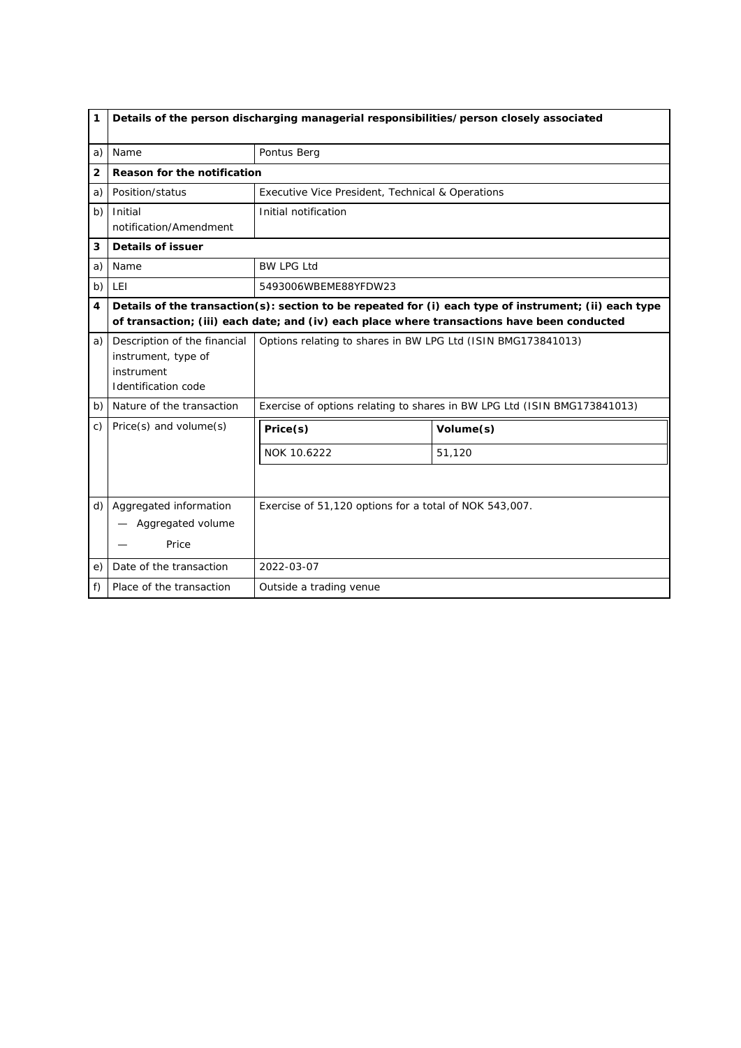| 1              | Details of the person discharging managerial responsibilities/person closely associated         |                                                                                                                                                                                                      |                                                                          |  |
|----------------|-------------------------------------------------------------------------------------------------|------------------------------------------------------------------------------------------------------------------------------------------------------------------------------------------------------|--------------------------------------------------------------------------|--|
| a)             | Name                                                                                            | Pontus Berg                                                                                                                                                                                          |                                                                          |  |
| $\overline{2}$ | Reason for the notification                                                                     |                                                                                                                                                                                                      |                                                                          |  |
| a)             | Position/status                                                                                 | Executive Vice President, Technical & Operations                                                                                                                                                     |                                                                          |  |
| b)             | Initial<br>notification/Amendment                                                               | Initial notification                                                                                                                                                                                 |                                                                          |  |
| 3              | Details of issuer                                                                               |                                                                                                                                                                                                      |                                                                          |  |
| a)             | Name                                                                                            | <b>BW LPG Ltd</b>                                                                                                                                                                                    |                                                                          |  |
| b)             | <b>LEI</b>                                                                                      | 5493006WBEME88YFDW23                                                                                                                                                                                 |                                                                          |  |
| 4              |                                                                                                 | Details of the transaction(s): section to be repeated for (i) each type of instrument; (ii) each type<br>of transaction; (iii) each date; and (iv) each place where transactions have been conducted |                                                                          |  |
| a)             | Description of the financial<br>instrument, type of<br>instrument<br><b>Identification code</b> | Options relating to shares in BW LPG Ltd (ISIN BMG173841013)                                                                                                                                         |                                                                          |  |
| b)             | Nature of the transaction                                                                       |                                                                                                                                                                                                      | Exercise of options relating to shares in BW LPG Ltd (ISIN BMG173841013) |  |
| C)             | Price(s) and volume(s)                                                                          | Price(s)                                                                                                                                                                                             | Volume(s)                                                                |  |
|                |                                                                                                 | NOK 10.6222                                                                                                                                                                                          | 51,120                                                                   |  |
|                |                                                                                                 |                                                                                                                                                                                                      |                                                                          |  |
| d)             | Aggregated information<br>Aggregated volume<br>Price                                            | Exercise of 51,120 options for a total of NOK 543,007.                                                                                                                                               |                                                                          |  |
| e)             | Date of the transaction                                                                         | 2022-03-07                                                                                                                                                                                           |                                                                          |  |
| f)             | Place of the transaction                                                                        | Outside a trading venue                                                                                                                                                                              |                                                                          |  |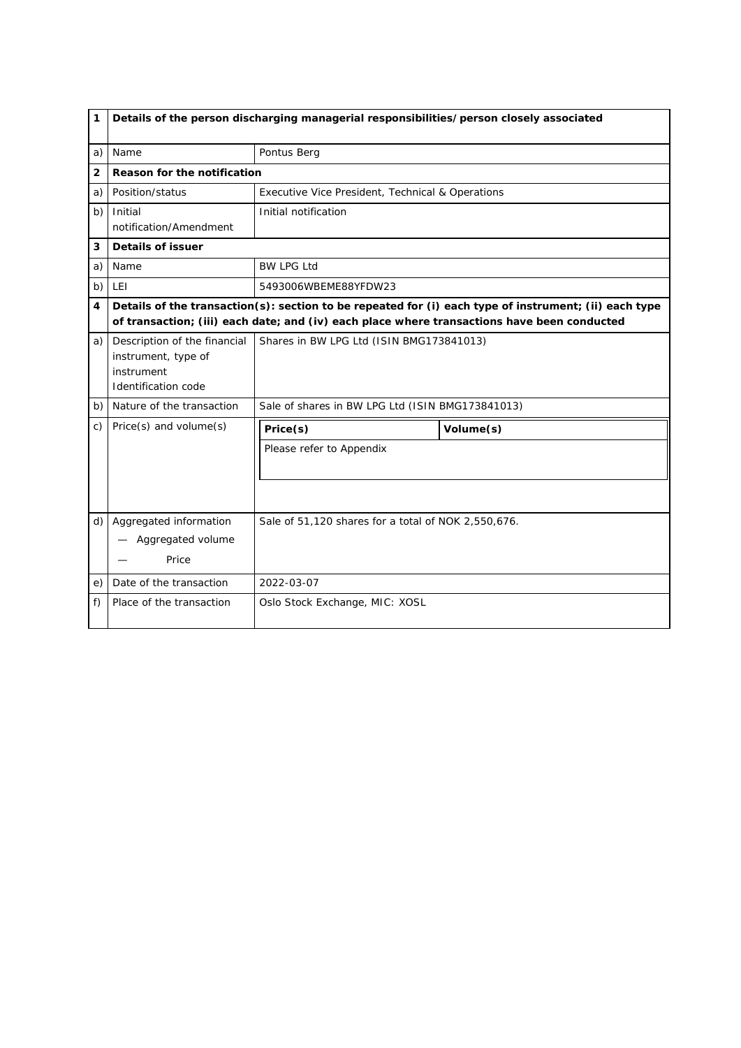| 1              |                                                                                          | Details of the person discharging managerial responsibilities/person closely associated |                                                                                                                                                                                                      |  |
|----------------|------------------------------------------------------------------------------------------|-----------------------------------------------------------------------------------------|------------------------------------------------------------------------------------------------------------------------------------------------------------------------------------------------------|--|
| a)             | Name                                                                                     | Pontus Berg                                                                             |                                                                                                                                                                                                      |  |
| $\overline{2}$ | Reason for the notification                                                              |                                                                                         |                                                                                                                                                                                                      |  |
| a)             | Position/status                                                                          | Executive Vice President, Technical & Operations                                        |                                                                                                                                                                                                      |  |
| b)             | Initial<br>notification/Amendment                                                        | Initial notification                                                                    |                                                                                                                                                                                                      |  |
| 3              | <b>Details of issuer</b>                                                                 |                                                                                         |                                                                                                                                                                                                      |  |
| a)             | Name                                                                                     | <b>BW LPG Ltd</b>                                                                       |                                                                                                                                                                                                      |  |
| b)             | <b>LEI</b>                                                                               | 5493006WBEME88YFDW23                                                                    |                                                                                                                                                                                                      |  |
| 4              |                                                                                          |                                                                                         | Details of the transaction(s): section to be repeated for (i) each type of instrument; (ii) each type<br>of transaction; (iii) each date; and (iv) each place where transactions have been conducted |  |
| a)             | Description of the financial<br>instrument, type of<br>instrument<br>Identification code | Shares in BW LPG Ltd (ISIN BMG173841013)                                                |                                                                                                                                                                                                      |  |
| b)             | Nature of the transaction                                                                | Sale of shares in BW LPG Ltd (ISIN BMG173841013)                                        |                                                                                                                                                                                                      |  |
| C)             | Price(s) and volume(s)                                                                   | Price(s)                                                                                | Volume(s)                                                                                                                                                                                            |  |
|                |                                                                                          | Please refer to Appendix                                                                |                                                                                                                                                                                                      |  |
|                |                                                                                          |                                                                                         |                                                                                                                                                                                                      |  |
| d)             | Aggregated information<br>Aggregated volume<br>Price                                     | Sale of 51,120 shares for a total of NOK 2,550,676.                                     |                                                                                                                                                                                                      |  |
| e)             | Date of the transaction                                                                  | 2022-03-07                                                                              |                                                                                                                                                                                                      |  |
| f)             | Place of the transaction                                                                 | Oslo Stock Exchange, MIC: XOSL                                                          |                                                                                                                                                                                                      |  |